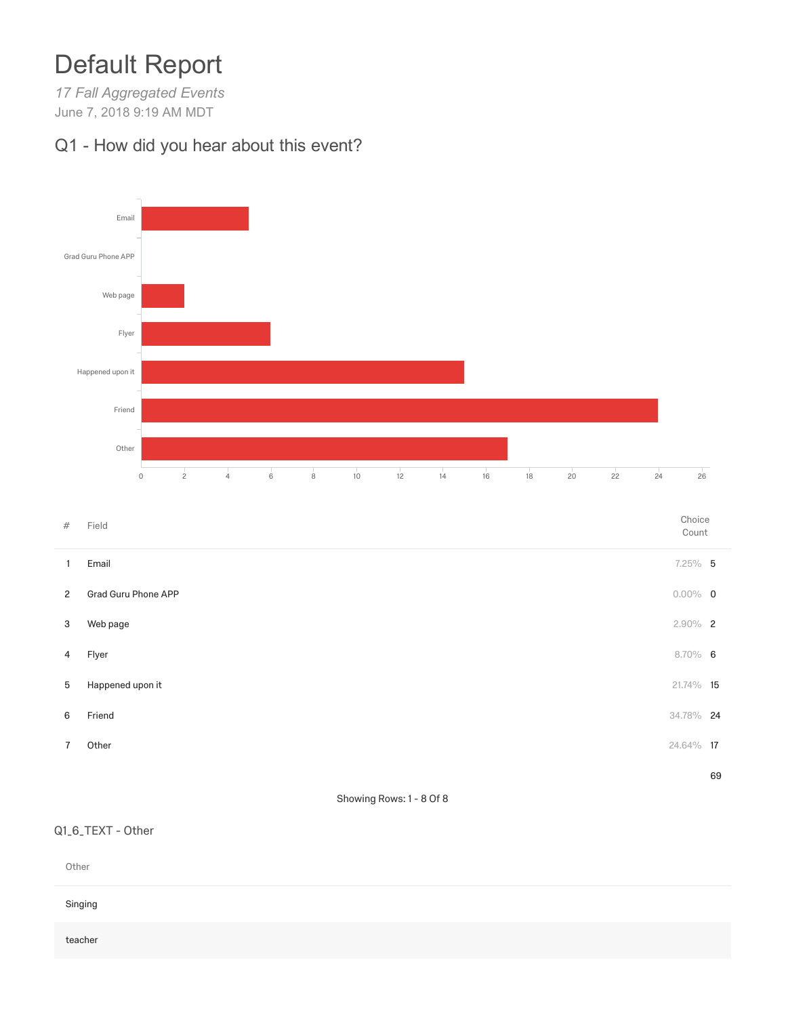# Default Report

*17 Fall Aggregated Events* June 7, 2018 9:19 AM MDT

### Q1 - How did you hear about this event?



Count

|                | Email               | $7.25\%$ 5 |    |
|----------------|---------------------|------------|----|
| $\overline{2}$ | Grad Guru Phone APP | $0.00\%$ 0 |    |
| 3              | Web page            | $2.90\%$ 2 |    |
| 4              | Flyer               | $8.70\%$ 6 |    |
| 5              | Happened upon it    | 21.74% 15  |    |
| 6              | Friend              | 34.78% 24  |    |
| 7              | Other               | 24.64% 17  |    |
|                |                     |            | 69 |

#### Showing Rows: 1 - 8 Of 8

#### Q1\_6\_TEXT - Other

| Other   |  |  |  |
|---------|--|--|--|
| Singing |  |  |  |
| teacher |  |  |  |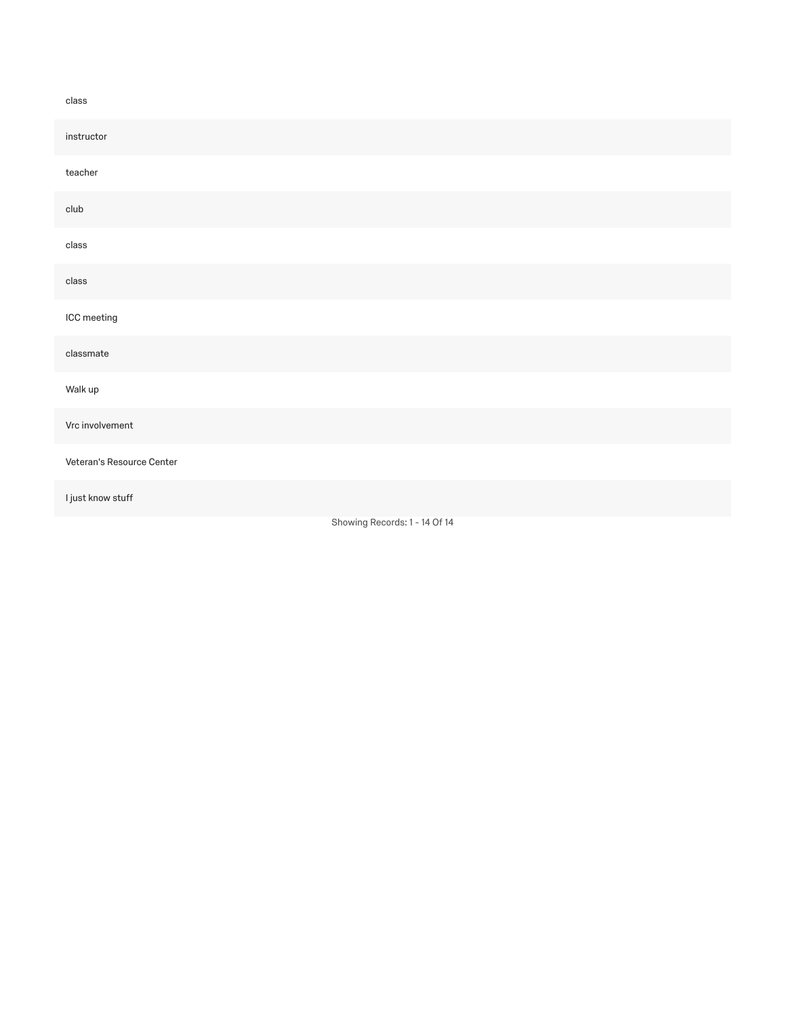#### class

| instructor                    |  |  |  |  |  |
|-------------------------------|--|--|--|--|--|
| teacher                       |  |  |  |  |  |
|                               |  |  |  |  |  |
| club                          |  |  |  |  |  |
| class                         |  |  |  |  |  |
|                               |  |  |  |  |  |
| class                         |  |  |  |  |  |
| ICC meeting                   |  |  |  |  |  |
|                               |  |  |  |  |  |
| classmate                     |  |  |  |  |  |
|                               |  |  |  |  |  |
| Walk up                       |  |  |  |  |  |
| Vrc involvement               |  |  |  |  |  |
|                               |  |  |  |  |  |
| Veteran's Resource Center     |  |  |  |  |  |
| I just know stuff             |  |  |  |  |  |
|                               |  |  |  |  |  |
| Showing Records: 1 - 14 Of 14 |  |  |  |  |  |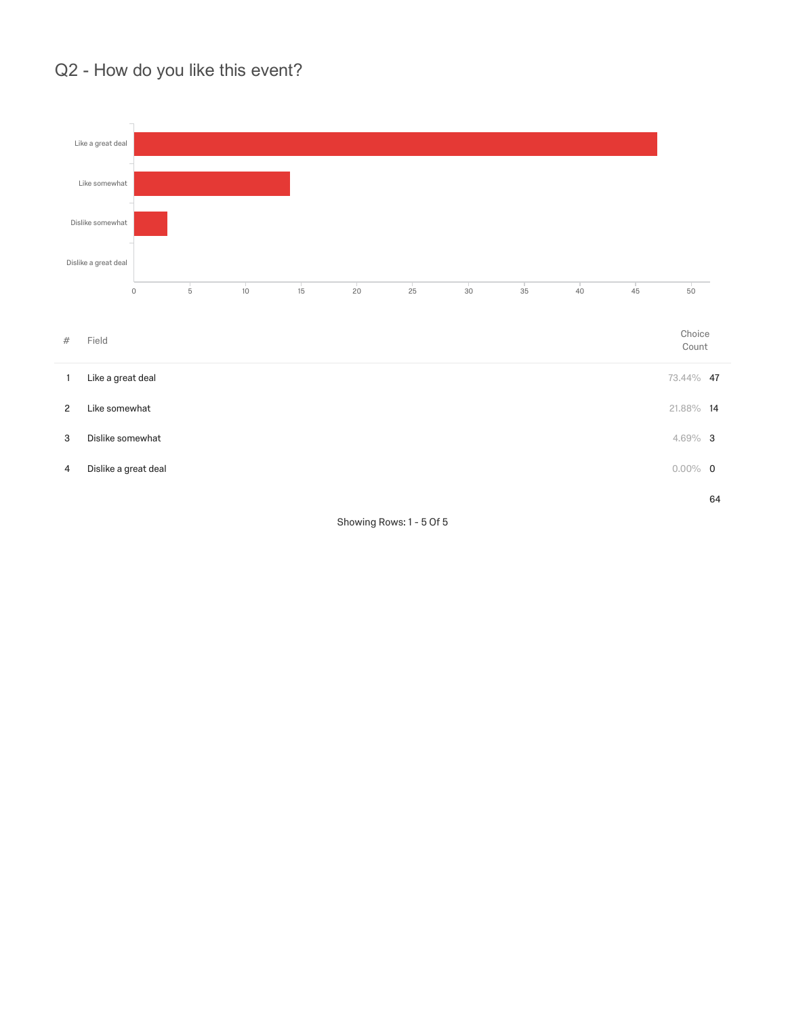### Q2 - How do you like this event?



Showing Rows: 1 - 5 Of 5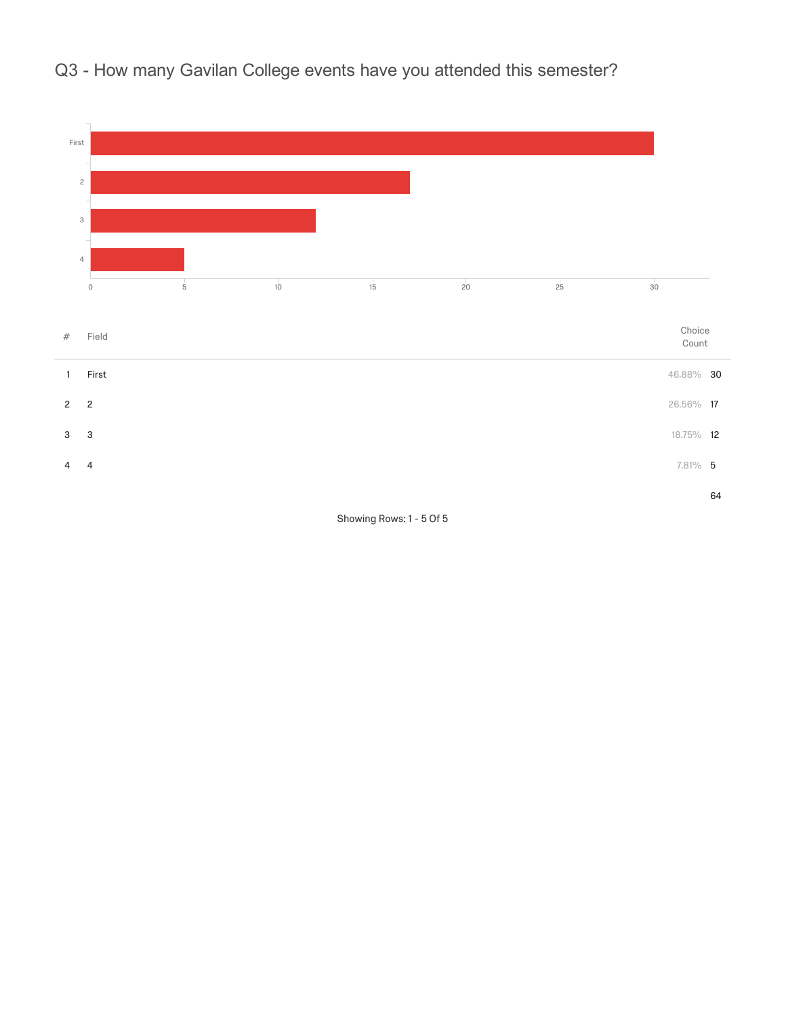



Showing Rows: 1 - 5 Of 5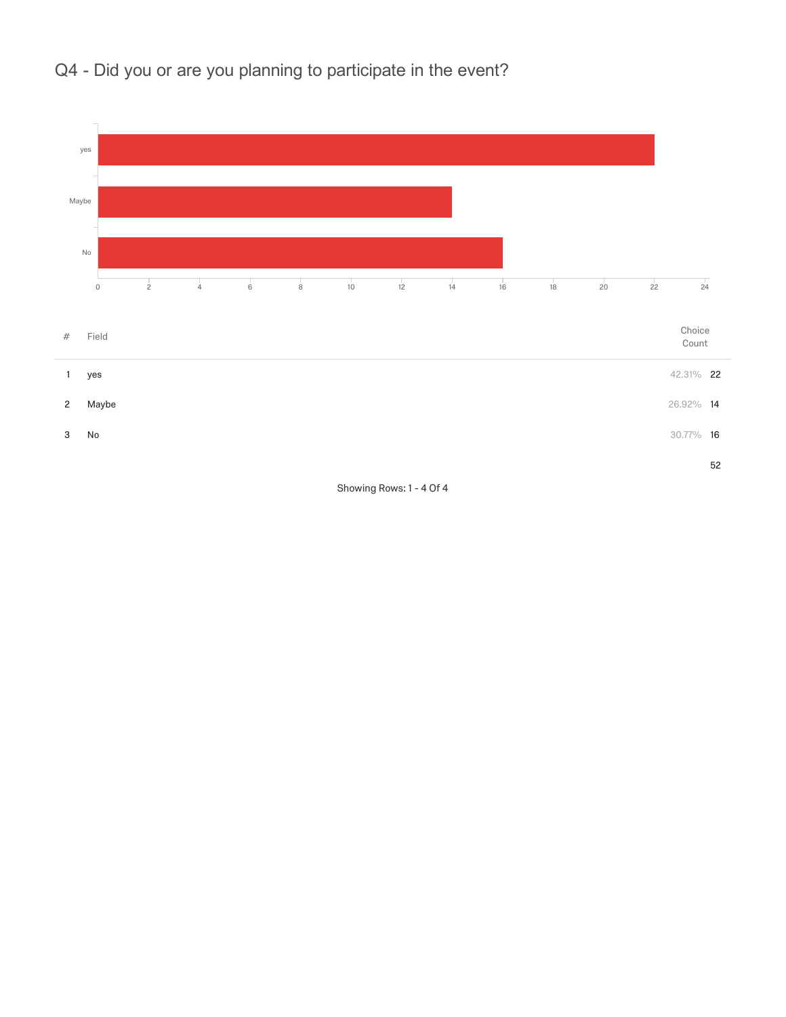



Showing Rows: 1 - 4 Of 4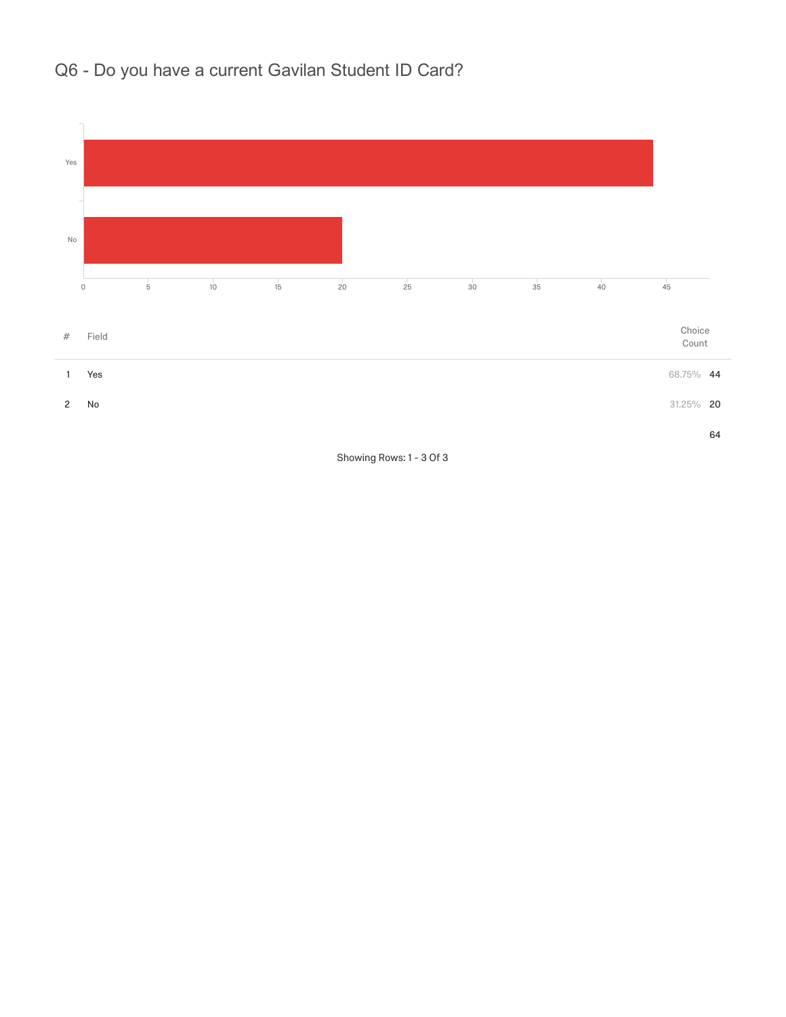## Q6 - Do you have a current Gavilan Student ID Card?



Showing Rows: 1 - 3 Of 3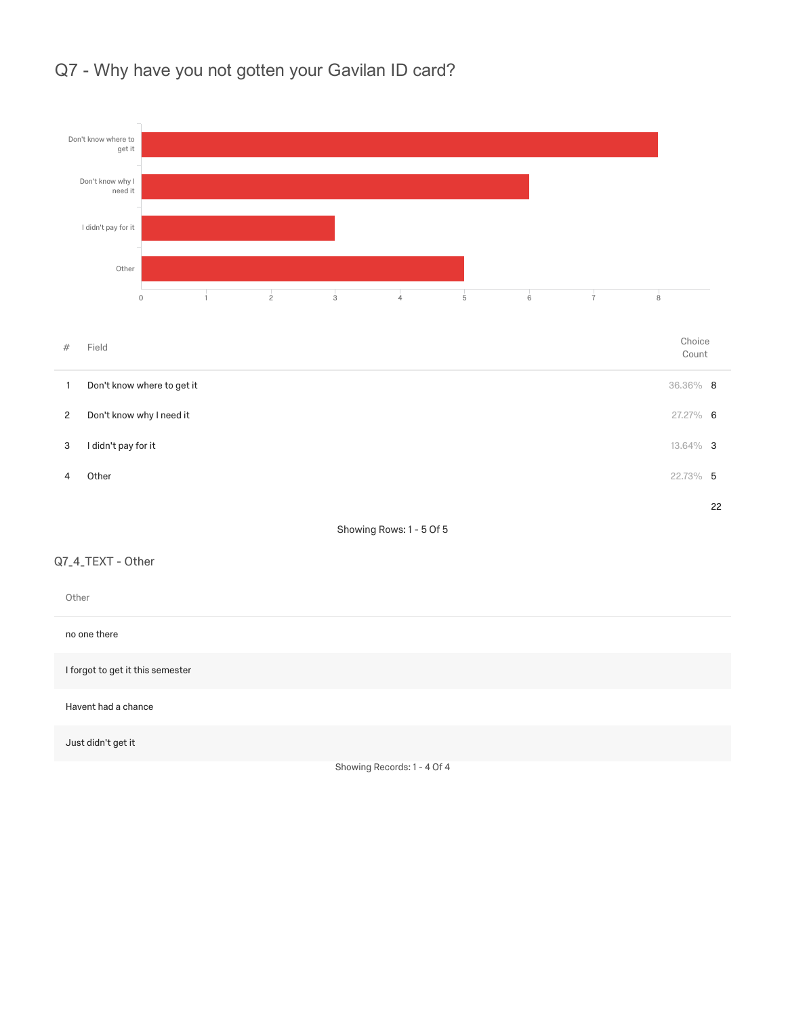

#### Q7 - Why have you not gotten your Gavilan ID card?

Showing Records: 1 - 4 Of 4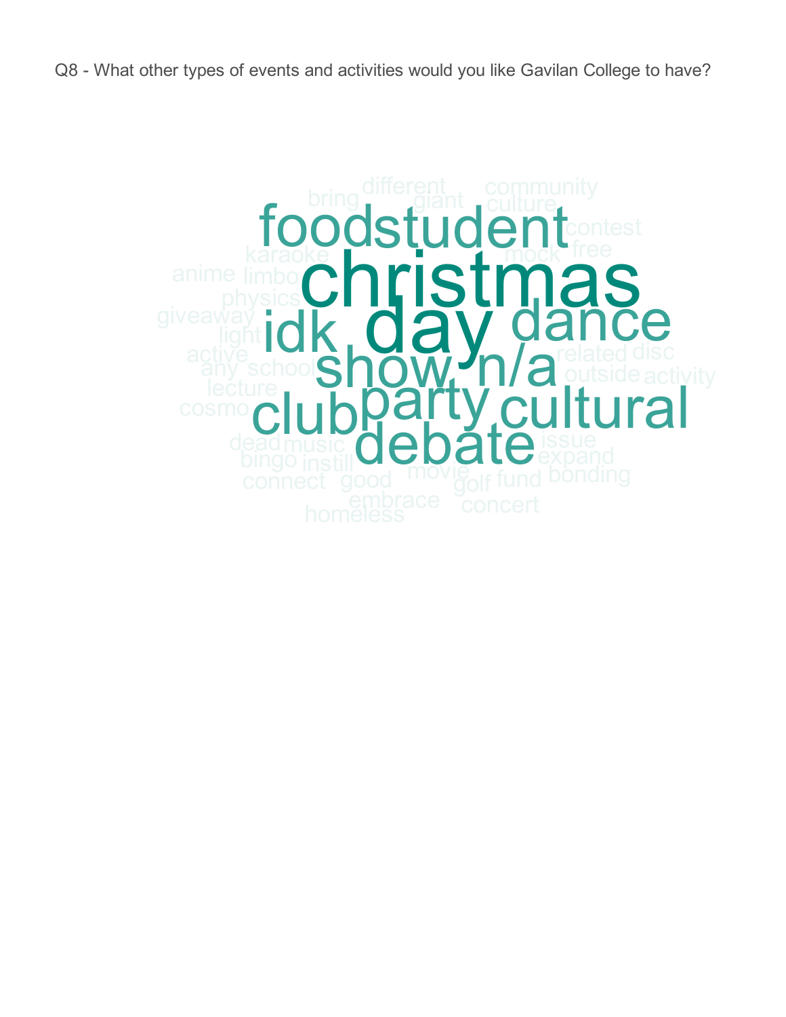Q8 - What other types of events and activities would you like Gavilan College to have?

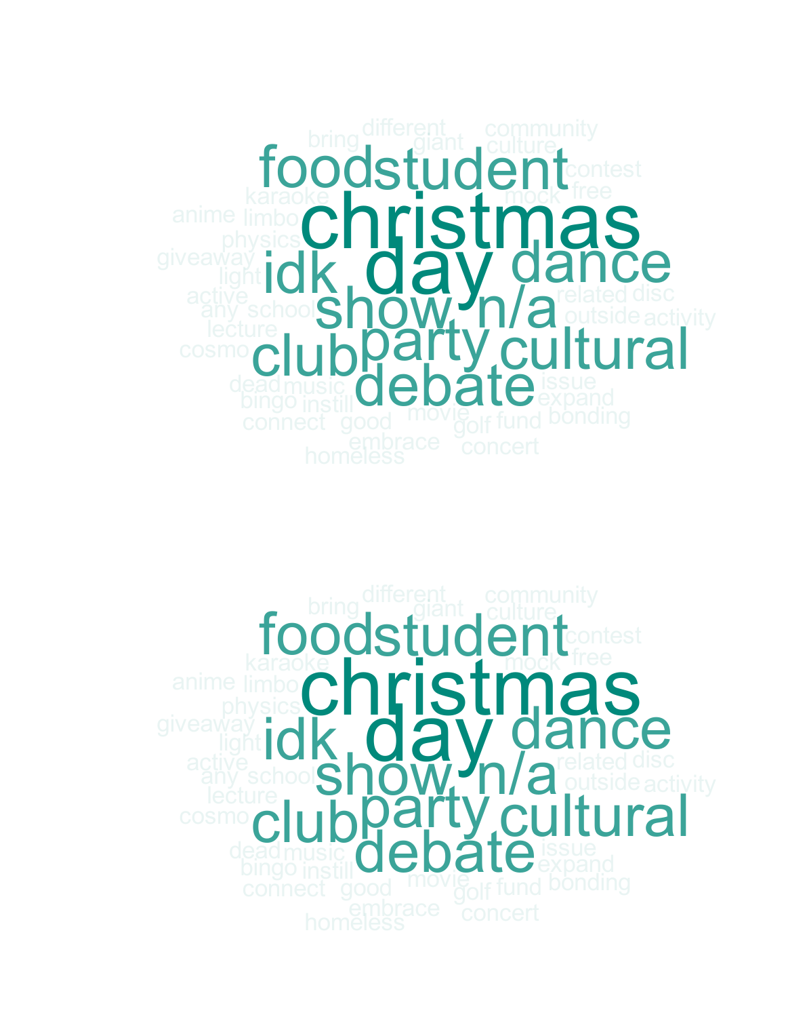